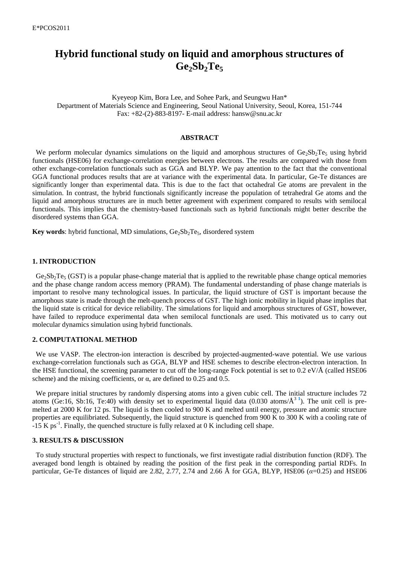# **Hybrid functional study on liquid and amorphous structures of Ge2Sb2Te<sup>5</sup>**

Kyeyeop Kim, Bora Lee, and Sohee Park, and Seungwu Han\* Department of Materials Science and Engineering, Seoul National University, Seoul, Korea, 151-744 Fax: +82-(2)-883-8197- E-mail address: hansw@snu.ac.kr

## **ABSTRACT**

We perform molecular dynamics simulations on the liquid and amorphous structures of  $Ge_2Sb_2Te_5$  using hybrid functionals (HSE06) for exchange-correlation energies between electrons. The results are compared with those from other exchange-correlation functionals such as GGA and BLYP. We pay attention to the fact that the conventional GGA functional produces results that are at variance with the experimental data. In particular, Ge-Te distances are significantly longer than experimental data. This is due to the fact that octahedral Ge atoms are prevalent in the simulation. In contrast, the hybrid functionals significantly increase the population of tetrahedral Ge atoms and the liquid and amorphous structures are in much better agreement with experiment compared to results with semilocal functionals. This implies that the chemistry-based functionals such as hybrid functionals might better describe the disordered systems than GGA.

**Key words:** hybrid functional, MD simulations,  $Ge_2Sb_2Te_5$ , disordered system

#### **1. INTRODUCTION**

 $Ge_2Sb_2Te_5$  (GST) is a popular phase-change material that is applied to the rewritable phase change optical memories and the phase change random access memory (PRAM). The fundamental understanding of phase change materials is important to resolve many technological issues. In particular, the liquid structure of GST is important because the amorphous state is made through the melt-quench process of GST. The high ionic mobility in liquid phase implies that the liquid state is critical for device reliability. The simulations for liquid and amorphous structures of GST, however, have failed to reproduce experimental data when semilocal functionals are used. This motivated us to carry out molecular dynamics simulation using hybrid functionals.

### **2. COMPUTATIONAL METHOD**

We use VASP. The electron-ion interaction is described by projected-augmented-wave potential. We use various exchange-correlation functionals such as GGA, BLYP and HSE schemes to describe electron-electron interaction. In the HSE functional, the screening parameter to cut off the long-range Fock potential is set to 0.2 eV/Å (called HSE06 scheme) and the mixing coefficients, or  $\alpha$ , are defined to 0.25 and 0.5.

We prepare initial structures by randomly dispersing atoms into a given cubic cell. The initial structure includes 72 atoms (Ge:16, Sb:16, Te:40) with density set to experimental liquid data  $(0.030 \text{ atoms/A}^3)^1$ ). The unit cell is premelted at 2000 K for 12 ps. The liquid is then cooled to 900 K and melted until energy, pressure and atomic structure properties are equilibriated. Subsequently, the liquid structure is quenched from 900 K to 300 K with a cooling rate of  $-15$  K ps<sup>-1</sup>. Finally, the quenched structure is fully relaxed at 0 K including cell shape.

#### **3. RESULTS & DISCUSSION**

To study structural properties with respect to functionals, we first investigate radial distribution function (RDF). The averaged bond length is obtained by reading the position of the first peak in the corresponding partial RDFs. In particular, Ge-Te distances of liquid are 2.82, 2.77, 2.74 and 2.66 Å for GGA, BLYP, HSE06 (*α*=0.25) and HSE06